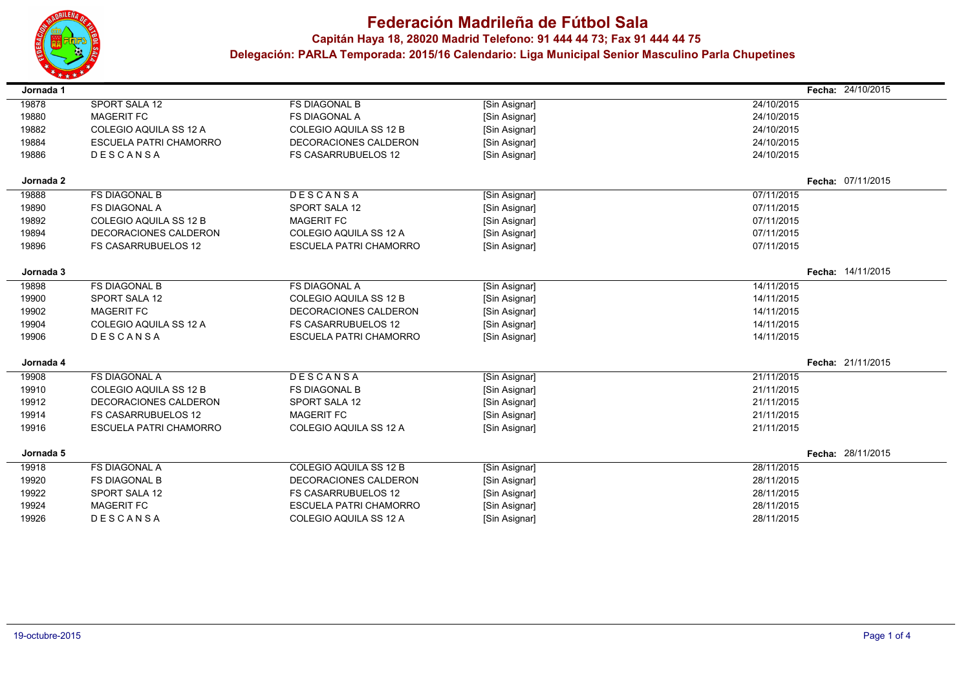

 $\blacksquare$ 

 $\overline{\phantom{a}}$ 

 $\sim$ 

## **Federación Madrileña de Fútbol Sala**

**Capitán Haya 18, <sup>28020</sup> Madrid Telefono: 91 444 44 73; Fax 91 444 44 75**

| Jornada 1 |                               |                               |               |            | Fecha: 24/10/2015 |
|-----------|-------------------------------|-------------------------------|---------------|------------|-------------------|
| 19878     | SPORT SALA 12                 | <b>FS DIAGONAL B</b>          | [Sin Asignar] | 24/10/2015 |                   |
| 19880     | <b>MAGERIT FC</b>             | <b>FS DIAGONAL A</b>          | [Sin Asignar] | 24/10/2015 |                   |
| 19882     | COLEGIO AQUILA SS 12 A        | COLEGIO AQUILA SS 12 B        | [Sin Asignar] | 24/10/2015 |                   |
| 19884     | ESCUELA PATRI CHAMORRO        | DECORACIONES CALDERON         | [Sin Asignar] | 24/10/2015 |                   |
| 19886     | <b>DESCANSA</b>               | <b>FS CASARRUBUELOS 12</b>    | [Sin Asignar] | 24/10/2015 |                   |
| Jornada 2 |                               |                               |               |            | Fecha: 07/11/2015 |
| 19888     | <b>FS DIAGONAL B</b>          | DESCANSA                      | [Sin Asignar] | 07/11/2015 |                   |
| 19890     | <b>FS DIAGONAL A</b>          | SPORT SALA 12                 | [Sin Asignar] | 07/11/2015 |                   |
| 19892     | <b>COLEGIO AQUILA SS 12 B</b> | <b>MAGERIT FC</b>             | [Sin Asignar] | 07/11/2015 |                   |
| 19894     | DECORACIONES CALDERON         | COLEGIO AQUILA SS 12 A        | [Sin Asignar] | 07/11/2015 |                   |
| 19896     | <b>FS CASARRUBUELOS 12</b>    | <b>ESCUELA PATRI CHAMORRO</b> | [Sin Asignar] | 07/11/2015 |                   |
| Jornada 3 |                               |                               |               |            | Fecha: 14/11/2015 |
| 19898     | <b>FS DIAGONAL B</b>          | <b>FS DIAGONAL A</b>          | [Sin Asignar] | 14/11/2015 |                   |
| 19900     | SPORT SALA 12                 | COLEGIO AQUILA SS 12 B        | [Sin Asignar] | 14/11/2015 |                   |
| 19902     | <b>MAGERIT FC</b>             | DECORACIONES CALDERON         | [Sin Asignar] | 14/11/2015 |                   |
| 19904     | COLEGIO AQUILA SS 12 A        | <b>FS CASARRUBUELOS 12</b>    | [Sin Asignar] | 14/11/2015 |                   |
| 19906     | DESCANSA                      | <b>ESCUELA PATRI CHAMORRO</b> | [Sin Asignar] | 14/11/2015 |                   |
| Jornada 4 |                               |                               |               |            | Fecha: 21/11/2015 |
| 19908     | <b>FS DIAGONAL A</b>          | DESCANSA                      | [Sin Asignar] | 21/11/2015 |                   |
| 19910     | COLEGIO AQUILA SS 12 B        | <b>FS DIAGONAL B</b>          | [Sin Asignar] | 21/11/2015 |                   |
| 19912     | DECORACIONES CALDERON         | SPORT SALA 12                 | [Sin Asignar] | 21/11/2015 |                   |
| 19914     | <b>FS CASARRUBUELOS 12</b>    | <b>MAGERIT FC</b>             | [Sin Asignar] | 21/11/2015 |                   |
| 19916     | <b>ESCUELA PATRI CHAMORRO</b> | COLEGIO AQUILA SS 12 A        | [Sin Asignar] | 21/11/2015 |                   |
| Jornada 5 |                               |                               |               |            | Fecha: 28/11/2015 |
| 19918     | <b>FS DIAGONAL A</b>          | COLEGIO AQUILA SS 12 B        | [Sin Asignar] | 28/11/2015 |                   |
| 19920     | <b>FS DIAGONAL B</b>          | DECORACIONES CALDERON         | [Sin Asignar] | 28/11/2015 |                   |
| 19922     | SPORT SALA 12                 | <b>FS CASARRUBUELOS 12</b>    | [Sin Asignar] | 28/11/2015 |                   |
| 19924     | <b>MAGERIT FC</b>             | <b>ESCUELA PATRI CHAMORRO</b> | [Sin Asignar] | 28/11/2015 |                   |
| 19926     | DESCANSA                      | COLEGIO AQUILA SS 12 A        | [Sin Asignar] | 28/11/2015 |                   |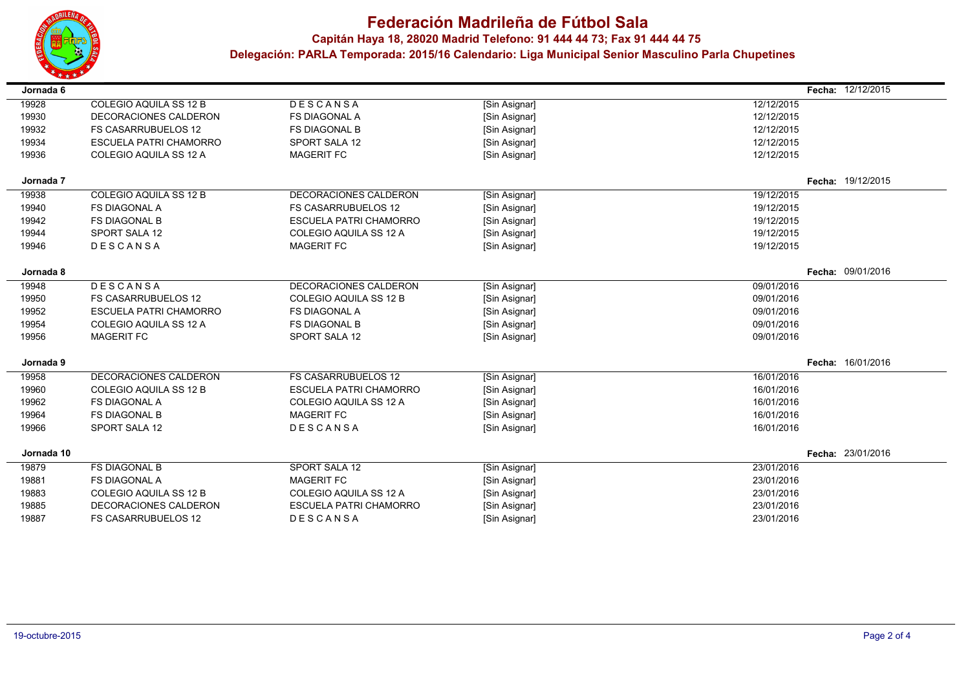

# **Federación Madrileña de Fútbol Sala**

### **Capitán Haya 18, <sup>28020</sup> Madrid Telefono: 91 444 44 73; Fax 91 444 44 75**

| Jornada 6  |                               |                               |               |            | Fecha: 12/12/2015 |
|------------|-------------------------------|-------------------------------|---------------|------------|-------------------|
| 19928      | COLEGIO AQUILA SS 12 B        | DESCANSA                      | [Sin Asignar] | 12/12/2015 |                   |
| 19930      | DECORACIONES CALDERON         | <b>FS DIAGONAL A</b>          | [Sin Asignar] | 12/12/2015 |                   |
| 19932      | <b>FS CASARRUBUELOS 12</b>    | <b>FS DIAGONAL B</b>          | [Sin Asignar] | 12/12/2015 |                   |
| 19934      | <b>ESCUELA PATRI CHAMORRO</b> | <b>SPORT SALA 12</b>          | [Sin Asignar] | 12/12/2015 |                   |
| 19936      | COLEGIO AQUILA SS 12 A        | <b>MAGERIT FC</b>             | [Sin Asignar] | 12/12/2015 |                   |
| Jornada 7  |                               |                               |               |            | Fecha: 19/12/2015 |
| 19938      | COLEGIO AQUILA SS 12 B        | DECORACIONES CALDERON         | [Sin Asignar] | 19/12/2015 |                   |
| 19940      | <b>FS DIAGONAL A</b>          | <b>FS CASARRUBUELOS 12</b>    | [Sin Asignar] | 19/12/2015 |                   |
| 19942      | <b>FS DIAGONAL B</b>          | <b>ESCUELA PATRI CHAMORRO</b> | [Sin Asignar] | 19/12/2015 |                   |
| 19944      | SPORT SALA 12                 | COLEGIO AQUILA SS 12 A        | [Sin Asignar] | 19/12/2015 |                   |
| 19946      | DESCANSA                      | <b>MAGERIT FC</b>             | [Sin Asignar] | 19/12/2015 |                   |
| Jornada 8  |                               |                               |               |            | Fecha: 09/01/2016 |
| 19948      | DESCANSA                      | DECORACIONES CALDERON         | [Sin Asignar] | 09/01/2016 |                   |
| 19950      | <b>FS CASARRUBUELOS 12</b>    | COLEGIO AQUILA SS 12 B        | [Sin Asignar] | 09/01/2016 |                   |
| 19952      | <b>ESCUELA PATRI CHAMORRO</b> | <b>FS DIAGONAL A</b>          | [Sin Asignar] | 09/01/2016 |                   |
| 19954      | COLEGIO AQUILA SS 12 A        | <b>FS DIAGONAL B</b>          | [Sin Asignar] | 09/01/2016 |                   |
| 19956      | <b>MAGERIT FC</b>             | SPORT SALA 12                 | [Sin Asignar] | 09/01/2016 |                   |
| Jornada 9  |                               |                               |               |            | Fecha: 16/01/2016 |
| 19958      | DECORACIONES CALDERON         | <b>FS CASARRUBUELOS 12</b>    | [Sin Asignar] | 16/01/2016 |                   |
| 19960      | COLEGIO AQUILA SS 12 B        | <b>ESCUELA PATRI CHAMORRO</b> | [Sin Asignar] | 16/01/2016 |                   |
| 19962      | <b>FS DIAGONAL A</b>          | COLEGIO AQUILA SS 12 A        | [Sin Asignar] | 16/01/2016 |                   |
| 19964      | <b>FS DIAGONAL B</b>          | <b>MAGERIT FC</b>             | [Sin Asignar] | 16/01/2016 |                   |
| 19966      | SPORT SALA 12                 | DESCANSA                      | [Sin Asignar] | 16/01/2016 |                   |
| Jornada 10 |                               |                               |               |            | Fecha: 23/01/2016 |
| 19879      | <b>FS DIAGONAL B</b>          | <b>SPORT SALA 12</b>          | [Sin Asignar] | 23/01/2016 |                   |
| 19881      | <b>FS DIAGONAL A</b>          | <b>MAGERIT FC</b>             | [Sin Asignar] | 23/01/2016 |                   |
| 19883      | COLEGIO AQUILA SS 12 B        | COLEGIO AQUILA SS 12 A        | [Sin Asignar] | 23/01/2016 |                   |
| 19885      | DECORACIONES CALDERON         | <b>ESCUELA PATRI CHAMORRO</b> | [Sin Asignar] | 23/01/2016 |                   |
| 19887      | <b>FS CASARRUBUELOS 12</b>    | DESCANSA                      | [Sin Asignar] | 23/01/2016 |                   |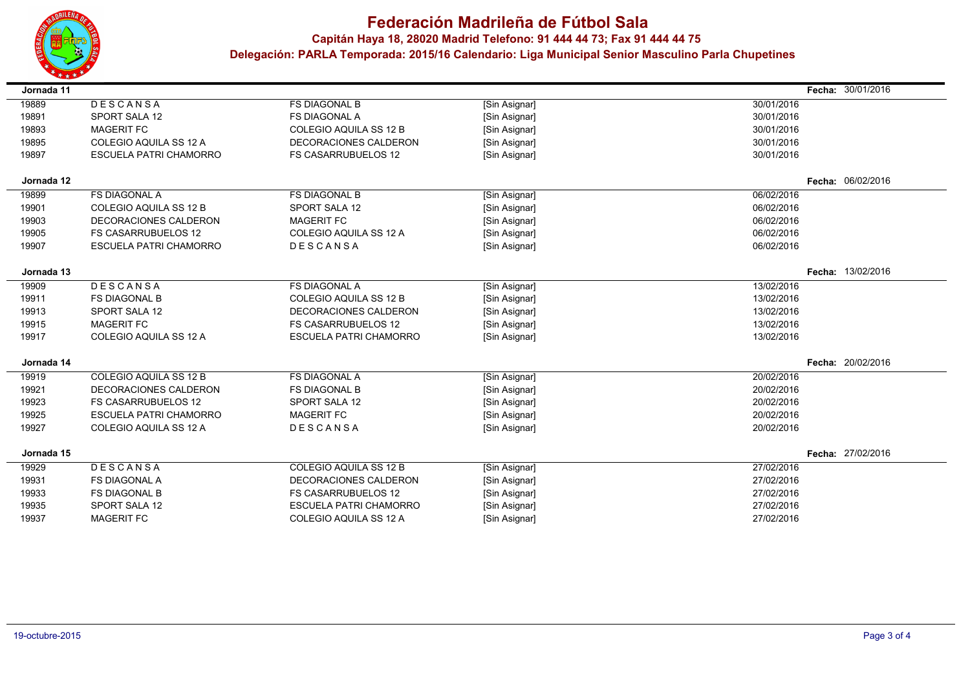

 $\blacksquare$ 

 $\overline{\phantom{a}}$ 

 $\sim$ 

## **Federación Madrileña de Fútbol Sala**

**Capitán Haya 18, <sup>28020</sup> Madrid Telefono: 91 444 44 73; Fax 91 444 44 75**

| Jornada 11 |                               |                               |               |            | Fecha: 30/01/2016 |
|------------|-------------------------------|-------------------------------|---------------|------------|-------------------|
| 19889      | DESCANSA                      | <b>FS DIAGONAL B</b>          | [Sin Asignar] | 30/01/2016 |                   |
| 19891      | SPORT SALA 12                 | <b>FS DIAGONAL A</b>          | [Sin Asignar] | 30/01/2016 |                   |
| 19893      | <b>MAGERIT FC</b>             | COLEGIO AQUILA SS 12 B        | [Sin Asignar] | 30/01/2016 |                   |
| 19895      | COLEGIO AQUILA SS 12 A        | DECORACIONES CALDERON         | [Sin Asignar] | 30/01/2016 |                   |
| 19897      | <b>ESCUELA PATRI CHAMORRO</b> | <b>FS CASARRUBUELOS 12</b>    | [Sin Asignar] | 30/01/2016 |                   |
| Jornada 12 |                               |                               |               |            | Fecha: 06/02/2016 |
| 19899      | <b>FS DIAGONAL A</b>          | <b>FS DIAGONAL B</b>          | [Sin Asignar] | 06/02/2016 |                   |
| 19901      | COLEGIO AQUILA SS 12 B        | <b>SPORT SALA 12</b>          | [Sin Asignar] | 06/02/2016 |                   |
| 19903      | DECORACIONES CALDERON         | <b>MAGERIT FC</b>             | [Sin Asignar] | 06/02/2016 |                   |
| 19905      | <b>FS CASARRUBUELOS 12</b>    | COLEGIO AQUILA SS 12 A        | [Sin Asignar] | 06/02/2016 |                   |
| 19907      | <b>ESCUELA PATRI CHAMORRO</b> | DESCANSA                      | [Sin Asignar] | 06/02/2016 |                   |
| Jornada 13 |                               |                               |               |            | Fecha: 13/02/2016 |
| 19909      | DESCANSA                      | <b>FS DIAGONAL A</b>          | [Sin Asignar] | 13/02/2016 |                   |
| 19911      | <b>FS DIAGONAL B</b>          | COLEGIO AQUILA SS 12 B        | [Sin Asignar] | 13/02/2016 |                   |
| 19913      | SPORT SALA 12                 | DECORACIONES CALDERON         | [Sin Asignar] | 13/02/2016 |                   |
| 19915      | <b>MAGERIT FC</b>             | <b>FS CASARRUBUELOS 12</b>    | [Sin Asignar] | 13/02/2016 |                   |
| 19917      | COLEGIO AQUILA SS 12 A        | <b>ESCUELA PATRI CHAMORRO</b> | [Sin Asignar] | 13/02/2016 |                   |
| Jornada 14 |                               |                               |               |            | Fecha: 20/02/2016 |
| 19919      | COLEGIO AQUILA SS 12 B        | <b>FS DIAGONAL A</b>          | [Sin Asignar] | 20/02/2016 |                   |
| 19921      | DECORACIONES CALDERON         | <b>FS DIAGONAL B</b>          | [Sin Asignar] | 20/02/2016 |                   |
| 19923      | <b>FS CASARRUBUELOS 12</b>    | SPORT SALA 12                 | [Sin Asignar] | 20/02/2016 |                   |
| 19925      | <b>ESCUELA PATRI CHAMORRO</b> | <b>MAGERIT FC</b>             | [Sin Asignar] | 20/02/2016 |                   |
| 19927      | COLEGIO AQUILA SS 12 A        | DESCANSA                      | [Sin Asignar] | 20/02/2016 |                   |
| Jornada 15 |                               |                               |               |            | Fecha: 27/02/2016 |
| 19929      | DESCANSA                      | COLEGIO AQUILA SS 12 B        | [Sin Asignar] | 27/02/2016 |                   |
| 19931      | <b>FS DIAGONAL A</b>          | DECORACIONES CALDERON         | [Sin Asignar] | 27/02/2016 |                   |
| 19933      | <b>FS DIAGONAL B</b>          | <b>FS CASARRUBUELOS 12</b>    | [Sin Asignar] | 27/02/2016 |                   |
| 19935      | SPORT SALA 12                 | <b>ESCUELA PATRI CHAMORRO</b> | [Sin Asignar] | 27/02/2016 |                   |
| 19937      | <b>MAGERIT FC</b>             | COLEGIO AQUILA SS 12 A        | [Sin Asignar] | 27/02/2016 |                   |